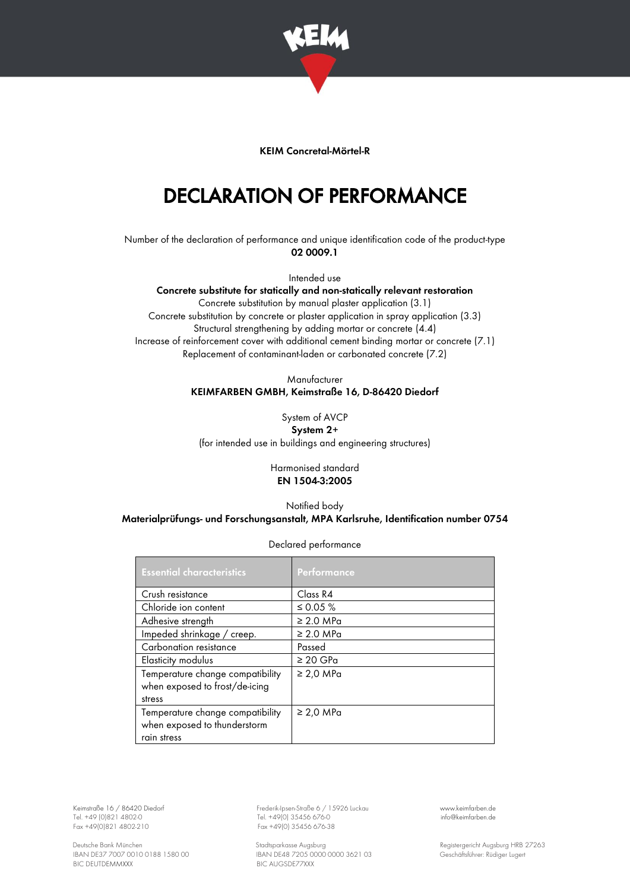

## KEIM Concretal-Mörtel-R

## DECLARATION OF PERFORMANCE

Number of the declaration of performance and unique identification code of the product-type 02 0009.1

Intended use

Concrete substitute for statically and non-statically relevant restoration Concrete substitution by manual plaster application (3.1) Concrete substitution by concrete or plaster application in spray application (3.3) Structural strengthening by adding mortar or concrete (4.4) Increase of reinforcement cover with additional cement binding mortar or concrete (7.1) Replacement of contaminant-laden or carbonated concrete (7.2)

## Manufacturer KEIMFARBEN GMBH, Keimstraße 16, D-86420 Diedorf

System of AVCP System 2+ (for intended use in buildings and engineering structures)

> Harmonised standard EN 1504-3:2005

## Notified body Materialprüfungs- und Forschungsanstalt, MPA Karlsruhe, Identification number 0754

| <b>Essential characteristics</b>                                 | <b>Performance</b> |
|------------------------------------------------------------------|--------------------|
| Crush resistance                                                 | Class R4           |
| Chloride ion content                                             | ≤ 0.05 $%$         |
| Adhesive strength                                                | $\geq$ 2.0 MPa     |
| Impeded shrinkage / creep.                                       | $\geq 2.0$ MPa     |
| Carbonation resistance                                           | Passed             |
| Elasticity modulus                                               | $\geq 20$ GPa      |
| Temperature change compatibility                                 | $\geq$ 2,0 MPa     |
| when exposed to frost/de-icing<br>stress                         |                    |
| Temperature change compatibility<br>when exposed to thunderstorm | $\geq$ 2,0 MPa     |
| rain stress                                                      |                    |

Declared performance

BIC DEUTDEMMXXX

Keimstraße 16 / 86420 Diedorf Frederik-Ipsen-Straße 6 / 15926 Luckau [www.keimfarben.de](http://www.keimfarben.de/) Tel. +49 (0)821 4802-0 Tel. +49 (0) 35456 676-0 [info@keimfarben.de](mailto:info@keimfarben.de)<br>
Fax +49(0)821 4802-0 Fax +49(0) 35456 676-0 Fax +49(0) 35456 676-0 info@keimfarben.de Fax +49(0) 35456 676-38

Deutsche Bank München Stadtsparkasse Augsburg (1990) Stadtsparkasse Augsburg (1990) Registergericht Augsburg HRB 27263<br>RAN DE37 7007 0010 0188 1580 00 (1990) BAN DE48 7205 0000 0000 3621 03 (1991) Geschäftsführer: Rüdiger IBAN DE48 7205 0000 0000 3621 03<br>BIC AUGSDE77XXX GESCHÄFTSFÜRER 1580 GESChäftsführer: Rüdiger Lugert